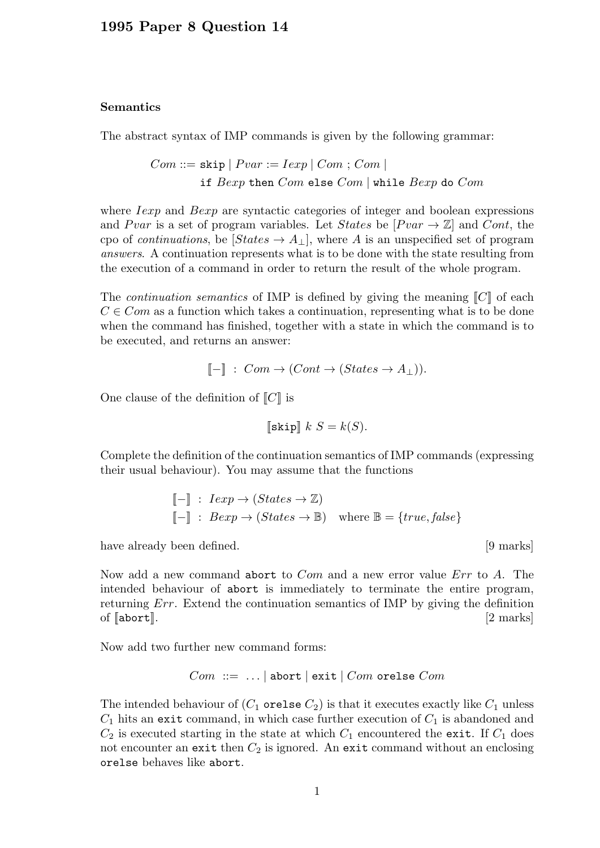## Semantics

The abstract syntax of IMP commands is given by the following grammar:

 $Com ::=$  skip  $| \; Pvar := Iexp | \; Com ; Com |$ if  $Bexp$  then  $Com$  else  $Com$  | while  $Bexp$  do  $Com$ 

where *Iexp* and *Bexp* are syntactic categories of integer and boolean expressions and Pvar is a set of program variables. Let States be  $[Pvar \rightarrow \mathbb{Z}]$  and Cont, the cpo of *continuations*, be  $[States \rightarrow A_{\perp}]$ , where A is an unspecified set of program answers. A continuation represents what is to be done with the state resulting from the execution of a command in order to return the result of the whole program.

The *continuation semantics* of IMP is defined by giving the meaning  $\llbracket C \rrbracket$  of each  $C \in Com$  as a function which takes a continuation, representing what is to be done when the command has finished, together with a state in which the command is to be executed, and returns an answer:

$$
[\![-]\!]
$$
:  $Com \rightarrow (Cont \rightarrow (States \rightarrow A_{\perp})).$ 

One clause of the definition of  $\llbracket C \rrbracket$  is

$$
\llbracket \texttt{skip} \rrbracket \ k \ S = k(S).
$$

Complete the definition of the continuation semantics of IMP commands (expressing their usual behaviour). You may assume that the functions

$$
\begin{aligned}\n[-\mathbb{I} : Iexp &\to (States \to \mathbb{Z}) \\
[-\mathbb{I} : Bexp &\to (States \to \mathbb{B}) \quad \text{where } \mathbb{B} = \{true, false\}\n\end{aligned}
$$

have already been defined.  $[9 \text{ marks}]$ 

Now add a new command abort to *Com* and a new error value *Err* to A. The intended behaviour of abort is immediately to terminate the entire program, returning Err. Extend the continuation semantics of IMP by giving the definition of  $\lceil \text{abort} \rceil$ .  $\lceil 2 \text{ marks} \rceil$ 

Now add two further new command forms:

$$
Com ::= ... | abort | exit | Com or else Com
$$

The intended behaviour of  $(C_1$  orelse  $C_2$ ) is that it executes exactly like  $C_1$  unless  $C_1$  hits an exit command, in which case further execution of  $C_1$  is abandoned and  $C_2$  is executed starting in the state at which  $C_1$  encountered the exit. If  $C_1$  does not encounter an exit then  $C_2$  is ignored. An exit command without an enclosing orelse behaves like abort.